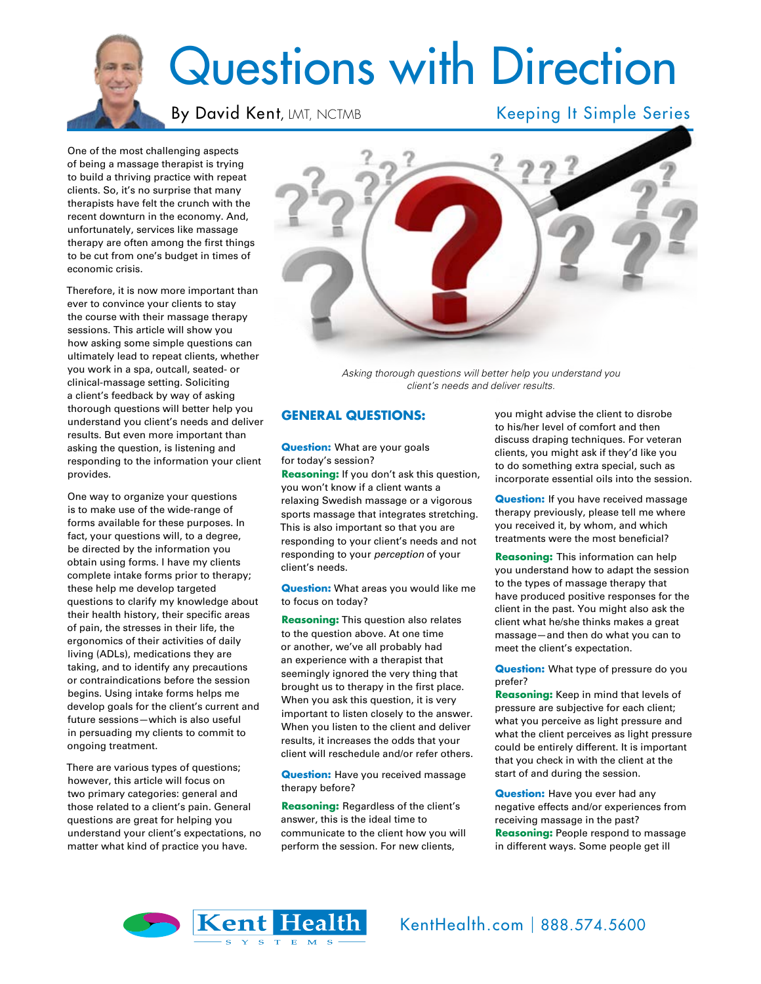# Questions with Direction

## By David Kent, LMT, NCTMB Keeping It Simple Series

One of the most challenging aspects of being a massage therapist is trying to build a thriving practice with repeat clients. So, it's no surprise that many therapists have felt the crunch with the recent downturn in the economy. And, unfortunately, services like massage therapy are often among the first things to be cut from one's budget in times of economic crisis.

Therefore, it is now more important than ever to convince your clients to stay the course with their massage therapy sessions. This article will show you how asking some simple questions can ultimately lead to repeat clients, whether you work in a spa, outcall, seated- or clinical-massage setting. Soliciting a client's feedback by way of asking thorough questions will better help you understand you client's needs and deliver results. But even more important than asking the question, is listening and responding to the information your client provides.

One way to organize your questions is to make use of the wide-range of forms available for these purposes. In fact, your questions will, to a degree, be directed by the information you obtain using forms. I have my clients complete intake forms prior to therapy; these help me develop targeted questions to clarify my knowledge about their health history, their specific areas of pain, the stresses in their life, the ergonomics of their activities of daily living (ADLs), medications they are taking, and to identify any precautions or contraindications before the session begins. Using intake forms helps me develop goals for the client's current and future sessions—which is also useful in persuading my clients to commit to ongoing treatment.

There are various types of questions; however, this article will focus on two primary categories: general and those related to a client's pain. General questions are great for helping you understand your client's expectations, no matter what kind of practice you have.



*Asking thorough questions will better help you understand you client's needs and deliver results.*

## **GENERAL QUESTIONS:**

**Question:** What are your goals for today's session?

**Reasoning:** If you don't ask this question, you won't know if a client wants a relaxing Swedish massage or a vigorous sports massage that integrates stretching. This is also important so that you are responding to your client's needs and not responding to your *perception* of your client's needs.

**Question:** What areas you would like me to focus on today?

**Reasoning:** This question also relates to the question above. At one time or another, we've all probably had an experience with a therapist that seemingly ignored the very thing that brought us to therapy in the first place. When you ask this question, it is very important to listen closely to the answer. When you listen to the client and deliver results, it increases the odds that your client will reschedule and/or refer others.

**Question:** Have you received massage therapy before?

**Reasoning:** Regardless of the client's answer, this is the ideal time to communicate to the client how you will perform the session. For new clients,

you might advise the client to disrobe to his/her level of comfort and then discuss draping techniques. For veteran clients, you might ask if they'd like you to do something extra special, such as incorporate essential oils into the session.

**Question:** If you have received massage therapy previously, please tell me where you received it, by whom, and which treatments were the most beneficial?

**Reasoning:** This information can help you understand how to adapt the session to the types of massage therapy that have produced positive responses for the client in the past. You might also ask the client what he/she thinks makes a great massage—and then do what you can to meet the client's expectation.

**Question:** What type of pressure do you prefer?

**Reasoning:** Keep in mind that levels of pressure are subjective for each client; what you perceive as light pressure and what the client perceives as light pressure could be entirely different. It is important that you check in with the client at the start of and during the session.

**Question:** Have you ever had any negative effects and/or experiences from receiving massage in the past? **Reasoning:** People respond to massage in different ways. Some people get ill